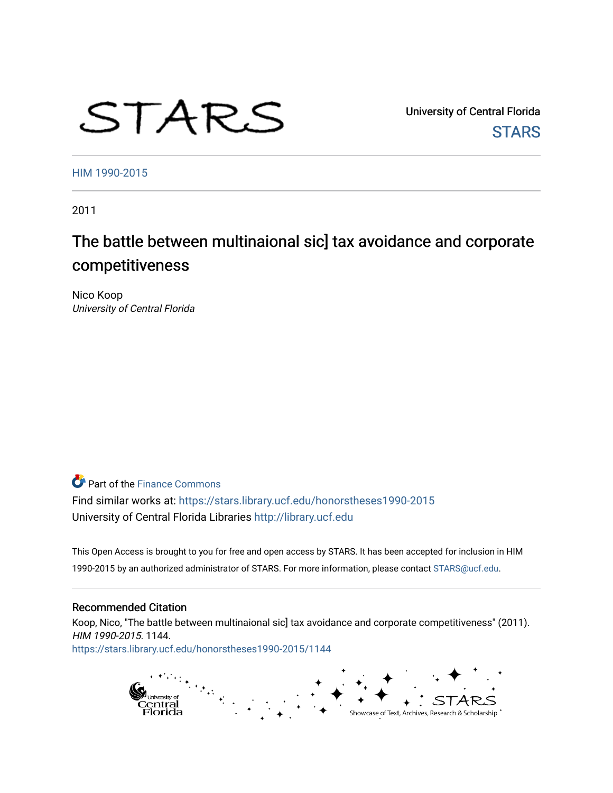# STARS

University of Central Florida **STARS** 

[HIM 1990-2015](https://stars.library.ucf.edu/honorstheses1990-2015) 

2011

## The battle between multinaional sic] tax avoidance and corporate competitiveness

Nico Koop University of Central Florida

**Part of the Finance Commons** 

Find similar works at: <https://stars.library.ucf.edu/honorstheses1990-2015> University of Central Florida Libraries [http://library.ucf.edu](http://library.ucf.edu/) 

This Open Access is brought to you for free and open access by STARS. It has been accepted for inclusion in HIM 1990-2015 by an authorized administrator of STARS. For more information, please contact [STARS@ucf.edu](mailto:STARS@ucf.edu).

#### Recommended Citation

Koop, Nico, "The battle between multinaional sic] tax avoidance and corporate competitiveness" (2011). HIM 1990-2015. 1144. [https://stars.library.ucf.edu/honorstheses1990-2015/1144](https://stars.library.ucf.edu/honorstheses1990-2015/1144?utm_source=stars.library.ucf.edu%2Fhonorstheses1990-2015%2F1144&utm_medium=PDF&utm_campaign=PDFCoverPages) 

> pi<sub>University of</sub><br>Central<br>Florida Showcase of Text, Archives, Research & Scholarship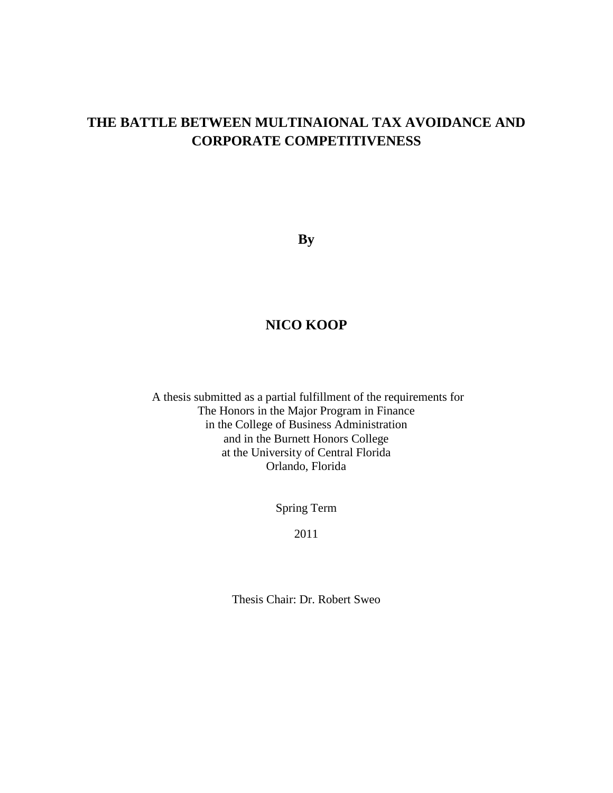## **THE BATTLE BETWEEN MULTINAIONAL TAX AVOIDANCE AND CORPORATE COMPETITIVENESS**

**By**

### **NICO KOOP**

A thesis submitted as a partial fulfillment of the requirements for The Honors in the Major Program in Finance in the College of Business Administration and in the Burnett Honors College at the University of Central Florida Orlando, Florida

Spring Term

2011

Thesis Chair: Dr. Robert Sweo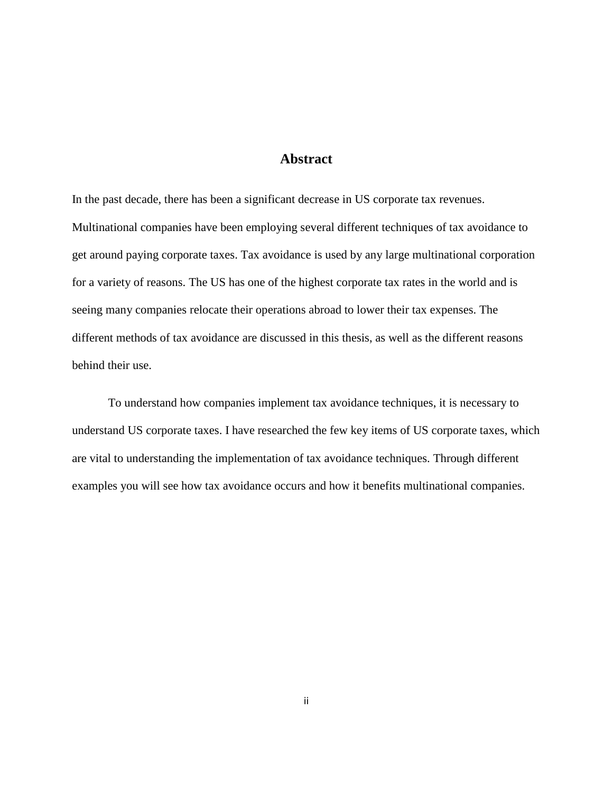#### **Abstract**

<span id="page-2-0"></span>In the past decade, there has been a significant decrease in US corporate tax revenues. Multinational companies have been employing several different techniques of tax avoidance to get around paying corporate taxes. Tax avoidance is used by any large multinational corporation for a variety of reasons. The US has one of the highest corporate tax rates in the world and is seeing many companies relocate their operations abroad to lower their tax expenses. The different methods of tax avoidance are discussed in this thesis, as well as the different reasons behind their use.

To understand how companies implement tax avoidance techniques, it is necessary to understand US corporate taxes. I have researched the few key items of US corporate taxes, which are vital to understanding the implementation of tax avoidance techniques. Through different examples you will see how tax avoidance occurs and how it benefits multinational companies.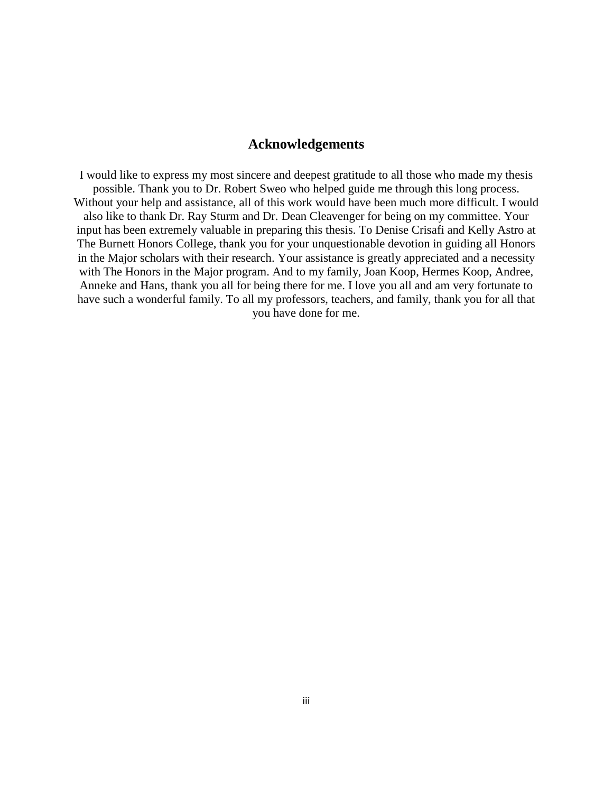#### **Acknowledgements**

I would like to express my most sincere and deepest gratitude to all those who made my thesis possible. Thank you to Dr. Robert Sweo who helped guide me through this long process. Without your help and assistance, all of this work would have been much more difficult. I would also like to thank Dr. Ray Sturm and Dr. Dean Cleavenger for being on my committee. Your input has been extremely valuable in preparing this thesis. To Denise Crisafi and Kelly Astro at The Burnett Honors College, thank you for your unquestionable devotion in guiding all Honors in the Major scholars with their research. Your assistance is greatly appreciated and a necessity with The Honors in the Major program. And to my family, Joan Koop, Hermes Koop, Andree, Anneke and Hans, thank you all for being there for me. I love you all and am very fortunate to have such a wonderful family. To all my professors, teachers, and family, thank you for all that you have done for me.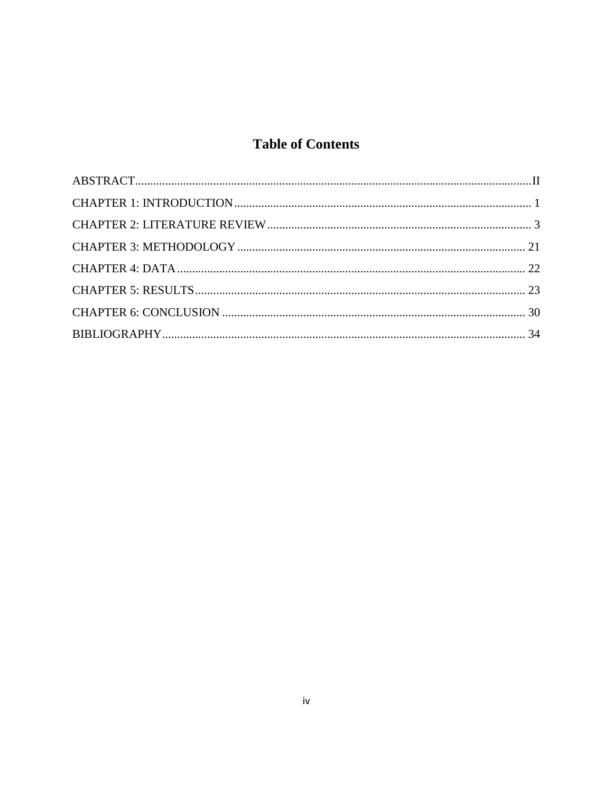## **Table of Contents**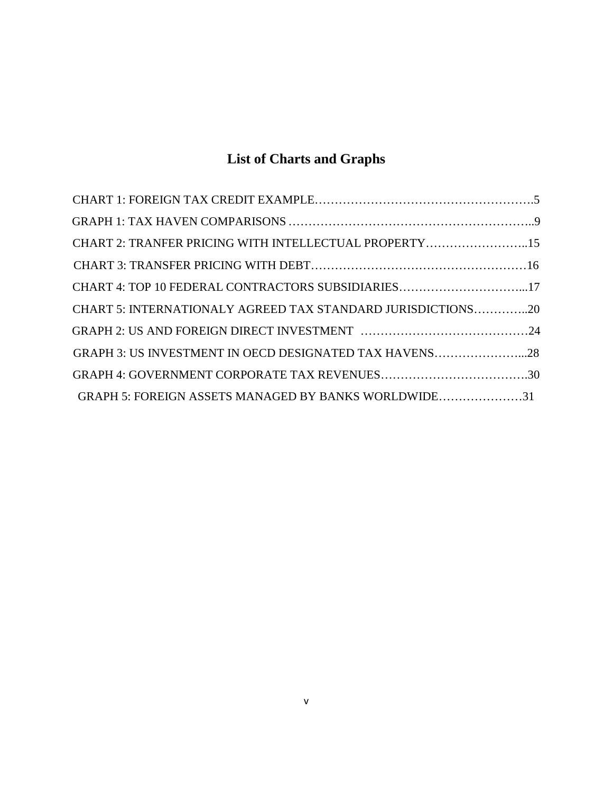# **List of Charts and Graphs**

| CHART 2: TRANFER PRICING WITH INTELLECTUAL PROPERTY15       |  |
|-------------------------------------------------------------|--|
|                                                             |  |
| CHART 4: TOP 10 FEDERAL CONTRACTORS SUBSIDIARIES17          |  |
| CHART 5: INTERNATIONALY AGREED TAX STANDARD JURISDICTIONS20 |  |
|                                                             |  |
| GRAPH 3: US INVESTMENT IN OECD DESIGNATED TAX HAVENS28      |  |
|                                                             |  |
| GRAPH 5: FOREIGN ASSETS MANAGED BY BANKS WORLDWIDE31        |  |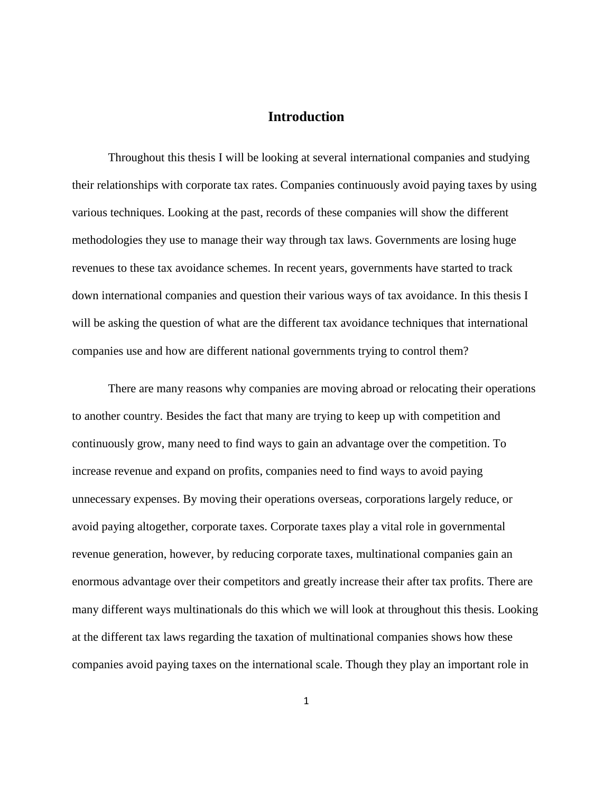#### **Introduction**

<span id="page-6-0"></span>Throughout this thesis I will be looking at several international companies and studying their relationships with corporate tax rates. Companies continuously avoid paying taxes by using various techniques. Looking at the past, records of these companies will show the different methodologies they use to manage their way through tax laws. Governments are losing huge revenues to these tax avoidance schemes. In recent years, governments have started to track down international companies and question their various ways of tax avoidance. In this thesis I will be asking the question of what are the different tax avoidance techniques that international companies use and how are different national governments trying to control them?

There are many reasons why companies are moving abroad or relocating their operations to another country. Besides the fact that many are trying to keep up with competition and continuously grow, many need to find ways to gain an advantage over the competition. To increase revenue and expand on profits, companies need to find ways to avoid paying unnecessary expenses. By moving their operations overseas, corporations largely reduce, or avoid paying altogether, corporate taxes. Corporate taxes play a vital role in governmental revenue generation, however, by reducing corporate taxes, multinational companies gain an enormous advantage over their competitors and greatly increase their after tax profits. There are many different ways multinationals do this which we will look at throughout this thesis. Looking at the different tax laws regarding the taxation of multinational companies shows how these companies avoid paying taxes on the international scale. Though they play an important role in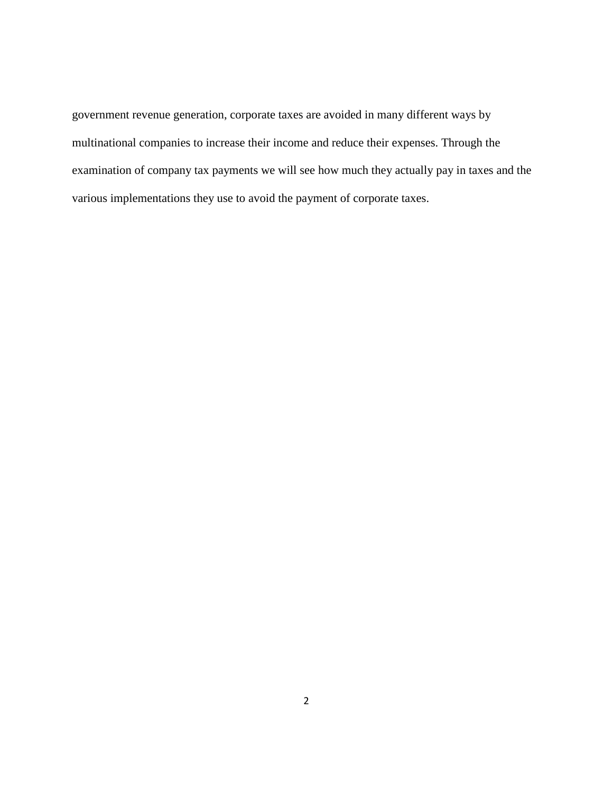government revenue generation, corporate taxes are avoided in many different ways by multinational companies to increase their income and reduce their expenses. Through the examination of company tax payments we will see how much they actually pay in taxes and the various implementations they use to avoid the payment of corporate taxes.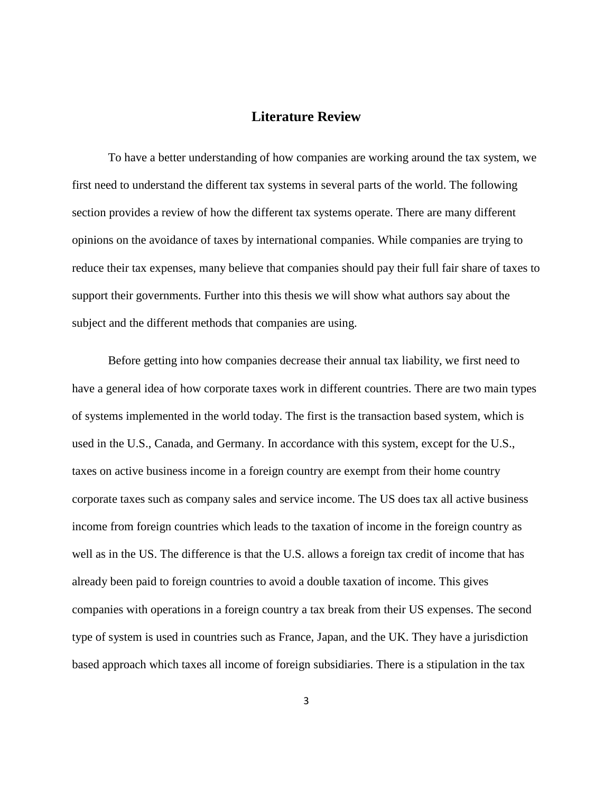#### **Literature Review**

<span id="page-8-0"></span>To have a better understanding of how companies are working around the tax system, we first need to understand the different tax systems in several parts of the world. The following section provides a review of how the different tax systems operate. There are many different opinions on the avoidance of taxes by international companies. While companies are trying to reduce their tax expenses, many believe that companies should pay their full fair share of taxes to support their governments. Further into this thesis we will show what authors say about the subject and the different methods that companies are using.

Before getting into how companies decrease their annual tax liability, we first need to have a general idea of how corporate taxes work in different countries. There are two main types of systems implemented in the world today. The first is the transaction based system, which is used in the U.S., Canada, and Germany. In accordance with this system, except for the U.S., taxes on active business income in a foreign country are exempt from their home country corporate taxes such as company sales and service income. The US does tax all active business income from foreign countries which leads to the taxation of income in the foreign country as well as in the US. The difference is that the U.S. allows a foreign tax credit of income that has already been paid to foreign countries to avoid a double taxation of income. This gives companies with operations in a foreign country a tax break from their US expenses. The second type of system is used in countries such as France, Japan, and the UK. They have a jurisdiction based approach which taxes all income of foreign subsidiaries. There is a stipulation in the tax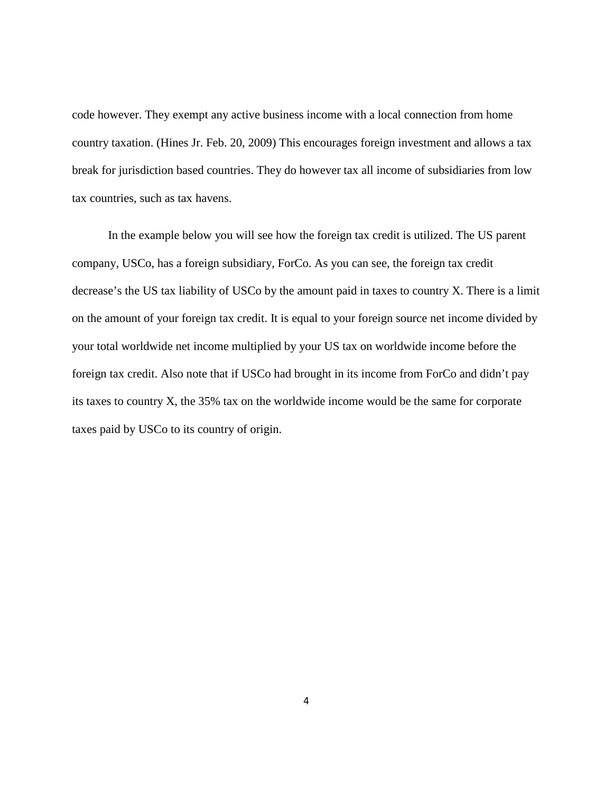code however. They exempt any active business income with a local connection from home country taxation. (Hines Jr. Feb. 20, 2009) This encourages foreign investment and allows a tax break for jurisdiction based countries. They do however tax all income of subsidiaries from low tax countries, such as tax havens.

<span id="page-9-0"></span>In the example below you will see how the foreign tax credit is utilized. The US parent company, USCo, has a foreign subsidiary, ForCo. As you can see, the foreign tax credit decrease's the US tax liability of USCo by the amount paid in taxes to country X. There is a limit on the amount of your foreign tax credit. It is equal to your foreign source net income divided by your total worldwide net income multiplied by your US tax on worldwide income before the foreign tax credit. Also note that if USCo had brought in its income from ForCo and didn't pay its taxes to country X, the 35% tax on the worldwide income would be the same for corporate taxes paid by USCo to its country of origin.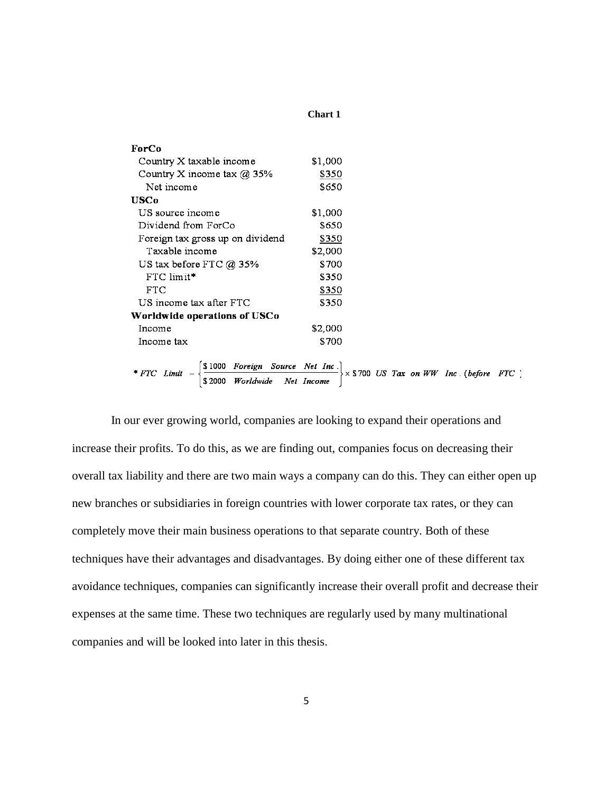#### **Chart 1**

| ForCo                                                                                                                                                                                                                                                                               |         |  |  |
|-------------------------------------------------------------------------------------------------------------------------------------------------------------------------------------------------------------------------------------------------------------------------------------|---------|--|--|
| Country X taxable income                                                                                                                                                                                                                                                            | \$1,000 |  |  |
| Country X income tax @ 35%                                                                                                                                                                                                                                                          | \$350   |  |  |
| Net income                                                                                                                                                                                                                                                                          | \$650   |  |  |
| <b>USCo</b>                                                                                                                                                                                                                                                                         |         |  |  |
| US source income                                                                                                                                                                                                                                                                    | \$1,000 |  |  |
| Dividend from ForCo                                                                                                                                                                                                                                                                 | \$650   |  |  |
| Foreign tax gross up on dividend                                                                                                                                                                                                                                                    | \$350   |  |  |
| Taxable income                                                                                                                                                                                                                                                                      | \$2,000 |  |  |
| US tax before FTC $@35\%$                                                                                                                                                                                                                                                           | \$700   |  |  |
| FTC limit*                                                                                                                                                                                                                                                                          | \$350   |  |  |
| FTC.                                                                                                                                                                                                                                                                                | \$350   |  |  |
| US income tax after FTC                                                                                                                                                                                                                                                             | \$350   |  |  |
| Worldwide operations of USCo                                                                                                                                                                                                                                                        |         |  |  |
| Income                                                                                                                                                                                                                                                                              | \$2,000 |  |  |
| Income tax                                                                                                                                                                                                                                                                          | \$700   |  |  |
|                                                                                                                                                                                                                                                                                     |         |  |  |
| $\begin{bmatrix} \text{S } 1000 & \text{Foreign} & \text{Source} & \text{Net } \text{Inc.} \\ \text{S } 2000 & \text{Worldwide} & \text{Net } \text{ Income} \end{bmatrix} \times \$700 \text{ US } \text{Tax} \text{ on } WW \text{ Inc. (before } FTC \text{ )}$<br>$*$ FTC Limit |         |  |  |
|                                                                                                                                                                                                                                                                                     |         |  |  |

In our ever growing world, companies are looking to expand their operations and increase their profits. To do this, as we are finding out, companies focus on decreasing their overall tax liability and there are two main ways a company can do this. They can either open up new branches or subsidiaries in foreign countries with lower corporate tax rates, or they can completely move their main business operations to that separate country. Both of these techniques have their advantages and disadvantages. By doing either one of these different tax avoidance techniques, companies can significantly increase their overall profit and decrease their expenses at the same time. These two techniques are regularly used by many multinational companies and will be looked into later in this thesis.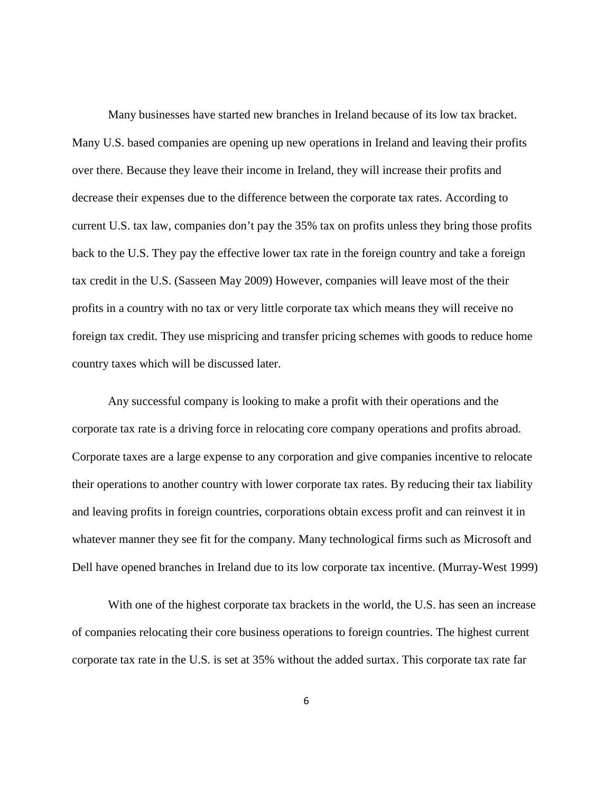Many businesses have started new branches in Ireland because of its low tax bracket. Many U.S. based companies are opening up new operations in Ireland and leaving their profits over there. Because they leave their income in Ireland, they will increase their profits and decrease their expenses due to the difference between the corporate tax rates. According to current U.S. tax law, companies don't pay the 35% tax on profits unless they bring those profits back to the U.S. They pay the effective lower tax rate in the foreign country and take a foreign tax credit in the U.S. (Sasseen May 2009) However, companies will leave most of the their profits in a country with no tax or very little corporate tax which means they will receive no foreign tax credit. They use mispricing and transfer pricing schemes with goods to reduce home country taxes which will be discussed later.

Any successful company is looking to make a profit with their operations and the corporate tax rate is a driving force in relocating core company operations and profits abroad. Corporate taxes are a large expense to any corporation and give companies incentive to relocate their operations to another country with lower corporate tax rates. By reducing their tax liability and leaving profits in foreign countries, corporations obtain excess profit and can reinvest it in whatever manner they see fit for the company. Many technological firms such as Microsoft and Dell have opened branches in Ireland due to its low corporate tax incentive. (Murray-West 1999)

With one of the highest corporate tax brackets in the world, the U.S. has seen an increase of companies relocating their core business operations to foreign countries. The highest current corporate tax rate in the U.S. is set at 35% without the added surtax. This corporate tax rate far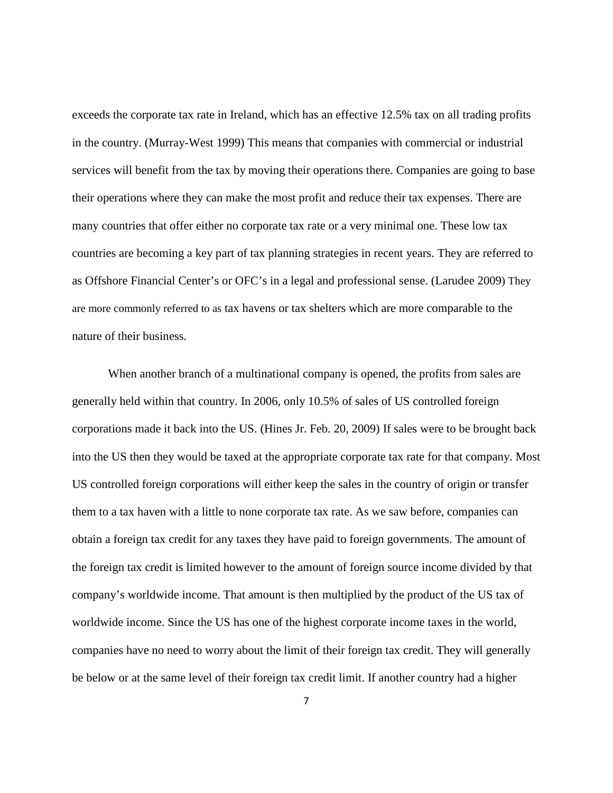exceeds the corporate tax rate in Ireland, which has an effective 12.5% tax on all trading profits in the country. (Murray-West 1999) This means that companies with commercial or industrial services will benefit from the tax by moving their operations there. Companies are going to base their operations where they can make the most profit and reduce their tax expenses. There are many countries that offer either no corporate tax rate or a very minimal one. These low tax countries are becoming a key part of tax planning strategies in recent years. They are referred to as Offshore Financial Center's or OFC's in a legal and professional sense. (Larudee 2009) They are more commonly referred to as tax havens or tax shelters which are more comparable to the nature of their business.

When another branch of a multinational company is opened, the profits from sales are generally held within that country. In 2006, only 10.5% of sales of US controlled foreign corporations made it back into the US. (Hines Jr. Feb. 20, 2009) If sales were to be brought back into the US then they would be taxed at the appropriate corporate tax rate for that company. Most US controlled foreign corporations will either keep the sales in the country of origin or transfer them to a tax haven with a little to none corporate tax rate. As we saw before, companies can obtain a foreign tax credit for any taxes they have paid to foreign governments. The amount of the foreign tax credit is limited however to the amount of foreign source income divided by that company's worldwide income. That amount is then multiplied by the product of the US tax of worldwide income. Since the US has one of the highest corporate income taxes in the world, companies have no need to worry about the limit of their foreign tax credit. They will generally be below or at the same level of their foreign tax credit limit. If another country had a higher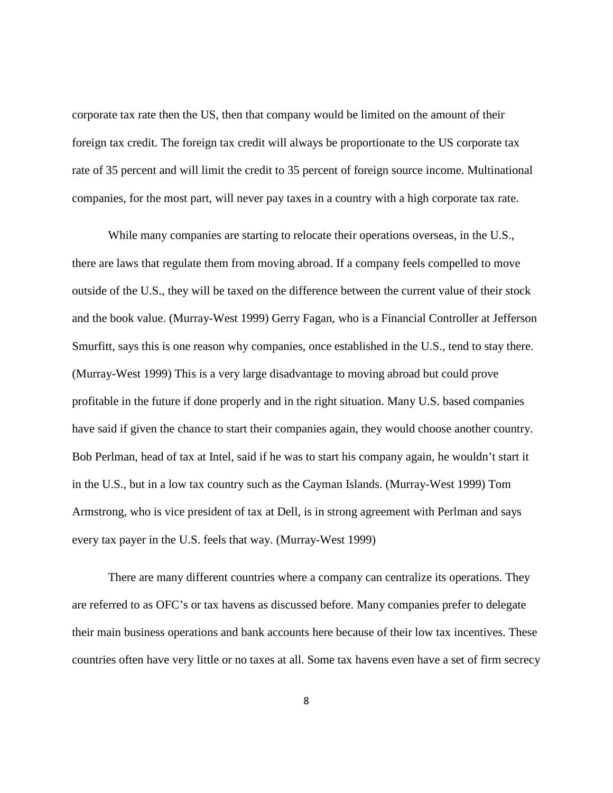corporate tax rate then the US, then that company would be limited on the amount of their foreign tax credit. The foreign tax credit will always be proportionate to the US corporate tax rate of 35 percent and will limit the credit to 35 percent of foreign source income. Multinational companies, for the most part, will never pay taxes in a country with a high corporate tax rate.

While many companies are starting to relocate their operations overseas, in the U.S., there are laws that regulate them from moving abroad. If a company feels compelled to move outside of the U.S., they will be taxed on the difference between the current value of their stock and the book value. (Murray-West 1999) Gerry Fagan, who is a Financial Controller at Jefferson Smurfitt, says this is one reason why companies, once established in the U.S., tend to stay there. (Murray-West 1999) This is a very large disadvantage to moving abroad but could prove profitable in the future if done properly and in the right situation. Many U.S. based companies have said if given the chance to start their companies again, they would choose another country. Bob Perlman, head of tax at Intel, said if he was to start his company again, he wouldn't start it in the U.S., but in a low tax country such as the Cayman Islands. (Murray-West 1999) Tom Armstrong, who is vice president of tax at Dell, is in strong agreement with Perlman and says every tax payer in the U.S. feels that way. (Murray-West 1999)

There are many different countries where a company can centralize its operations. They are referred to as OFC's or tax havens as discussed before. Many companies prefer to delegate their main business operations and bank accounts here because of their low tax incentives. These countries often have very little or no taxes at all. Some tax havens even have a set of firm secrecy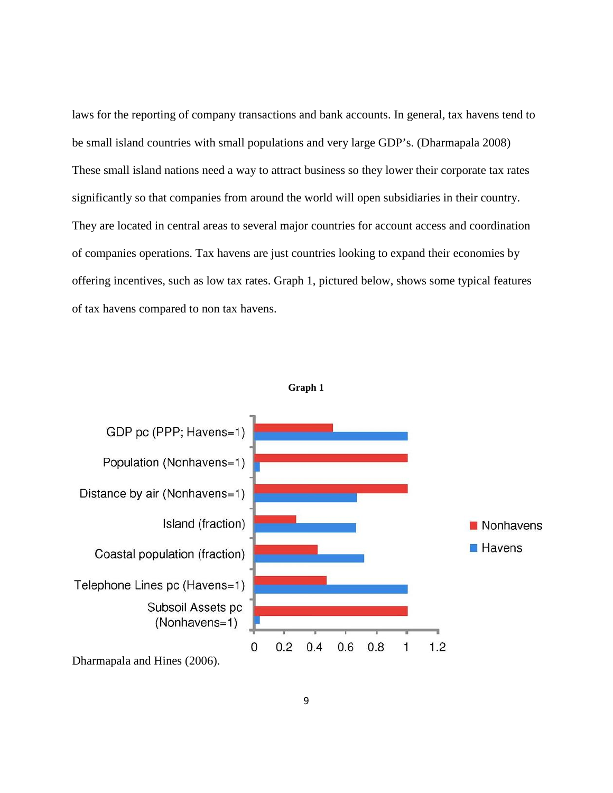laws for the reporting of company transactions and bank accounts. In general, tax havens tend to be small island countries with small populations and very large GDP's. (Dharmapala 2008) These small island nations need a way to attract business so they lower their corporate tax rates significantly so that companies from around the world will open subsidiaries in their country. They are located in central areas to several major countries for account access and coordination of companies operations. Tax havens are just countries looking to expand their economies by offering incentives, such as low tax rates. Graph 1, pictured below, shows some typical features of tax havens compared to non tax havens.

<span id="page-14-0"></span>



Dharmapala and Hines (2006).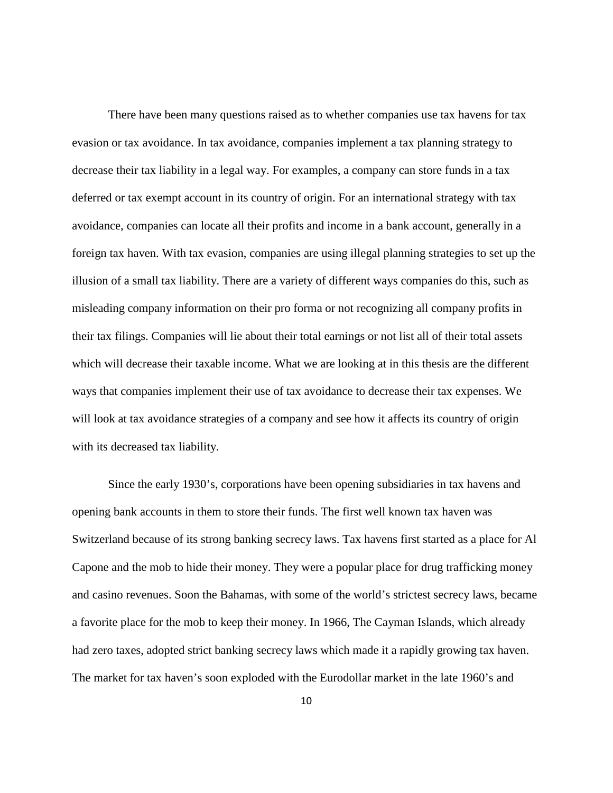There have been many questions raised as to whether companies use tax havens for tax evasion or tax avoidance. In tax avoidance, companies implement a tax planning strategy to decrease their tax liability in a legal way. For examples, a company can store funds in a tax deferred or tax exempt account in its country of origin. For an international strategy with tax avoidance, companies can locate all their profits and income in a bank account, generally in a foreign tax haven. With tax evasion, companies are using illegal planning strategies to set up the illusion of a small tax liability. There are a variety of different ways companies do this, such as misleading company information on their pro forma or not recognizing all company profits in their tax filings. Companies will lie about their total earnings or not list all of their total assets which will decrease their taxable income. What we are looking at in this thesis are the different ways that companies implement their use of tax avoidance to decrease their tax expenses. We will look at tax avoidance strategies of a company and see how it affects its country of origin with its decreased tax liability.

Since the early 1930's, corporations have been opening subsidiaries in tax havens and opening bank accounts in them to store their funds. The first well known tax haven was Switzerland because of its strong banking secrecy laws. Tax havens first started as a place for Al Capone and the mob to hide their money. They were a popular place for drug trafficking money and casino revenues. Soon the Bahamas, with some of the world's strictest secrecy laws, became a favorite place for the mob to keep their money. In 1966, The Cayman Islands, which already had zero taxes, adopted strict banking secrecy laws which made it a rapidly growing tax haven. The market for tax haven's soon exploded with the Eurodollar market in the late 1960's and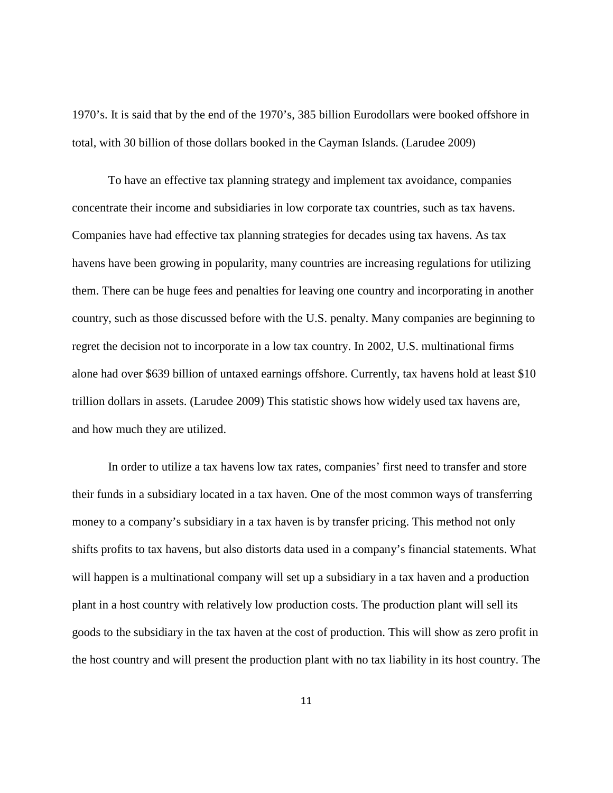1970's. It is said that by the end of the 1970's, 385 billion Eurodollars were booked offshore in total, with 30 billion of those dollars booked in the Cayman Islands. (Larudee 2009)

To have an effective tax planning strategy and implement tax avoidance, companies concentrate their income and subsidiaries in low corporate tax countries, such as tax havens. Companies have had effective tax planning strategies for decades using tax havens. As tax havens have been growing in popularity, many countries are increasing regulations for utilizing them. There can be huge fees and penalties for leaving one country and incorporating in another country, such as those discussed before with the U.S. penalty. Many companies are beginning to regret the decision not to incorporate in a low tax country. In 2002, U.S. multinational firms alone had over \$639 billion of untaxed earnings offshore. Currently, tax havens hold at least \$10 trillion dollars in assets. (Larudee 2009) This statistic shows how widely used tax havens are, and how much they are utilized.

In order to utilize a tax havens low tax rates, companies' first need to transfer and store their funds in a subsidiary located in a tax haven. One of the most common ways of transferring money to a company's subsidiary in a tax haven is by transfer pricing. This method not only shifts profits to tax havens, but also distorts data used in a company's financial statements. What will happen is a multinational company will set up a subsidiary in a tax haven and a production plant in a host country with relatively low production costs. The production plant will sell its goods to the subsidiary in the tax haven at the cost of production. This will show as zero profit in the host country and will present the production plant with no tax liability in its host country. The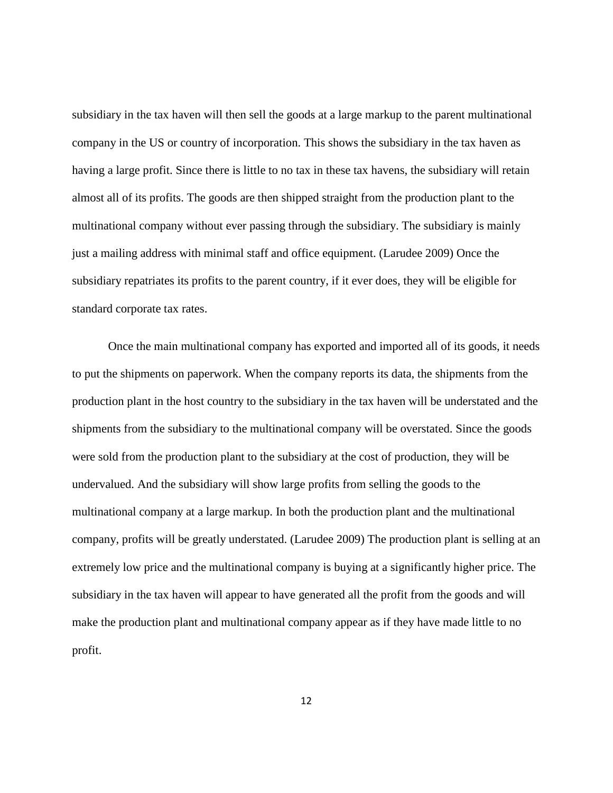subsidiary in the tax haven will then sell the goods at a large markup to the parent multinational company in the US or country of incorporation. This shows the subsidiary in the tax haven as having a large profit. Since there is little to no tax in these tax havens, the subsidiary will retain almost all of its profits. The goods are then shipped straight from the production plant to the multinational company without ever passing through the subsidiary. The subsidiary is mainly just a mailing address with minimal staff and office equipment. (Larudee 2009) Once the subsidiary repatriates its profits to the parent country, if it ever does, they will be eligible for standard corporate tax rates.

Once the main multinational company has exported and imported all of its goods, it needs to put the shipments on paperwork. When the company reports its data, the shipments from the production plant in the host country to the subsidiary in the tax haven will be understated and the shipments from the subsidiary to the multinational company will be overstated. Since the goods were sold from the production plant to the subsidiary at the cost of production, they will be undervalued. And the subsidiary will show large profits from selling the goods to the multinational company at a large markup. In both the production plant and the multinational company, profits will be greatly understated. (Larudee 2009) The production plant is selling at an extremely low price and the multinational company is buying at a significantly higher price. The subsidiary in the tax haven will appear to have generated all the profit from the goods and will make the production plant and multinational company appear as if they have made little to no profit.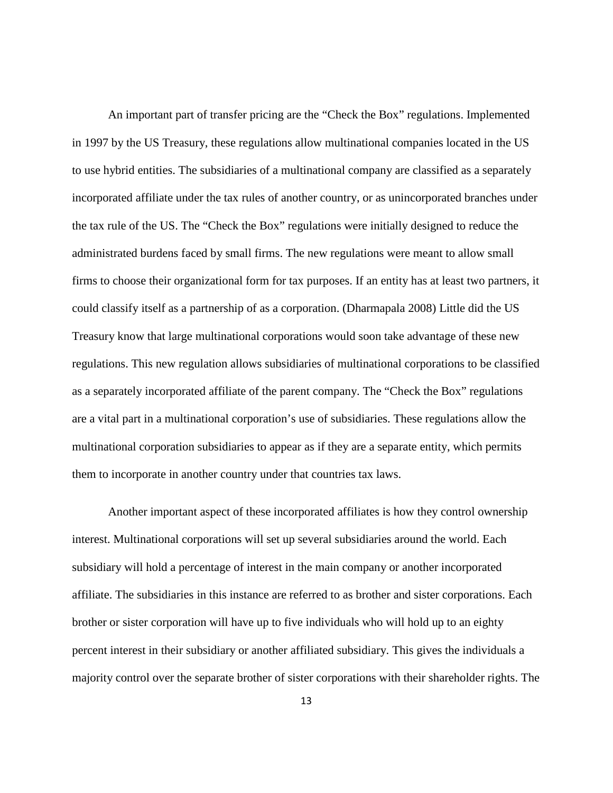An important part of transfer pricing are the "Check the Box" regulations. Implemented in 1997 by the US Treasury, these regulations allow multinational companies located in the US to use hybrid entities. The subsidiaries of a multinational company are classified as a separately incorporated affiliate under the tax rules of another country, or as unincorporated branches under the tax rule of the US. The "Check the Box" regulations were initially designed to reduce the administrated burdens faced by small firms. The new regulations were meant to allow small firms to choose their organizational form for tax purposes. If an entity has at least two partners, it could classify itself as a partnership of as a corporation. (Dharmapala 2008) Little did the US Treasury know that large multinational corporations would soon take advantage of these new regulations. This new regulation allows subsidiaries of multinational corporations to be classified as a separately incorporated affiliate of the parent company. The "Check the Box" regulations are a vital part in a multinational corporation's use of subsidiaries. These regulations allow the multinational corporation subsidiaries to appear as if they are a separate entity, which permits them to incorporate in another country under that countries tax laws.

Another important aspect of these incorporated affiliates is how they control ownership interest. Multinational corporations will set up several subsidiaries around the world. Each subsidiary will hold a percentage of interest in the main company or another incorporated affiliate. The subsidiaries in this instance are referred to as brother and sister corporations. Each brother or sister corporation will have up to five individuals who will hold up to an eighty percent interest in their subsidiary or another affiliated subsidiary. This gives the individuals a majority control over the separate brother of sister corporations with their shareholder rights. The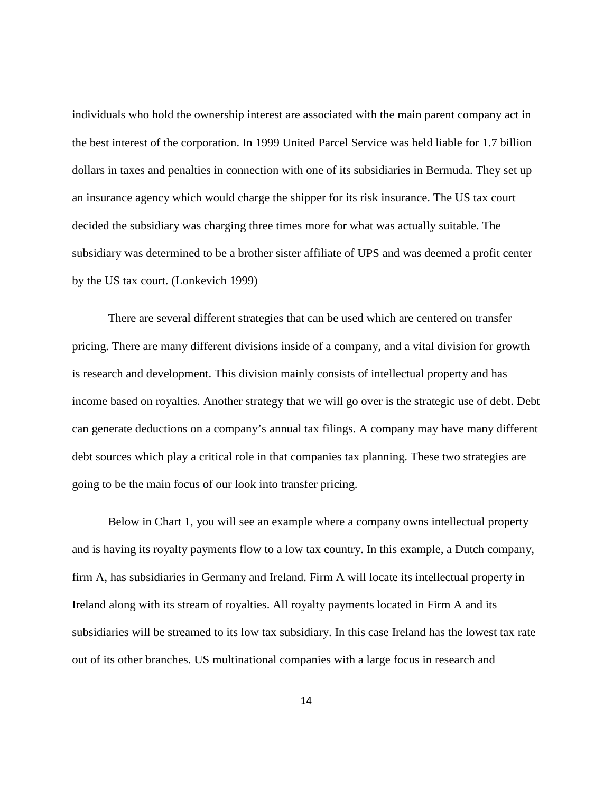individuals who hold the ownership interest are associated with the main parent company act in the best interest of the corporation. In 1999 United Parcel Service was held liable for 1.7 billion dollars in taxes and penalties in connection with one of its subsidiaries in Bermuda. They set up an insurance agency which would charge the shipper for its risk insurance. The US tax court decided the subsidiary was charging three times more for what was actually suitable. The subsidiary was determined to be a brother sister affiliate of UPS and was deemed a profit center by the US tax court. (Lonkevich 1999)

There are several different strategies that can be used which are centered on transfer pricing. There are many different divisions inside of a company, and a vital division for growth is research and development. This division mainly consists of intellectual property and has income based on royalties. Another strategy that we will go over is the strategic use of debt. Debt can generate deductions on a company's annual tax filings. A company may have many different debt sources which play a critical role in that companies tax planning. These two strategies are going to be the main focus of our look into transfer pricing.

Below in Chart 1, you will see an example where a company owns intellectual property and is having its royalty payments flow to a low tax country. In this example, a Dutch company, firm A, has subsidiaries in Germany and Ireland. Firm A will locate its intellectual property in Ireland along with its stream of royalties. All royalty payments located in Firm A and its subsidiaries will be streamed to its low tax subsidiary. In this case Ireland has the lowest tax rate out of its other branches. US multinational companies with a large focus in research and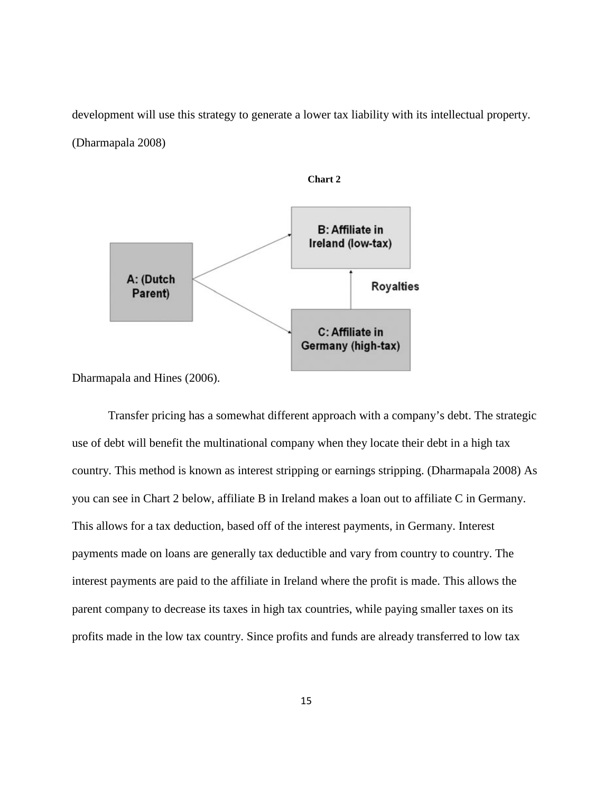development will use this strategy to generate a lower tax liability with its intellectual property. (Dharmapala 2008)

**Chart 2**

<span id="page-20-0"></span>

Dharmapala and Hines (2006).

Transfer pricing has a somewhat different approach with a company's debt. The strategic use of debt will benefit the multinational company when they locate their debt in a high tax country. This method is known as interest stripping or earnings stripping. (Dharmapala 2008) As you can see in Chart 2 below, affiliate B in Ireland makes a loan out to affiliate C in Germany. This allows for a tax deduction, based off of the interest payments, in Germany. Interest payments made on loans are generally tax deductible and vary from country to country. The interest payments are paid to the affiliate in Ireland where the profit is made. This allows the parent company to decrease its taxes in high tax countries, while paying smaller taxes on its profits made in the low tax country. Since profits and funds are already transferred to low tax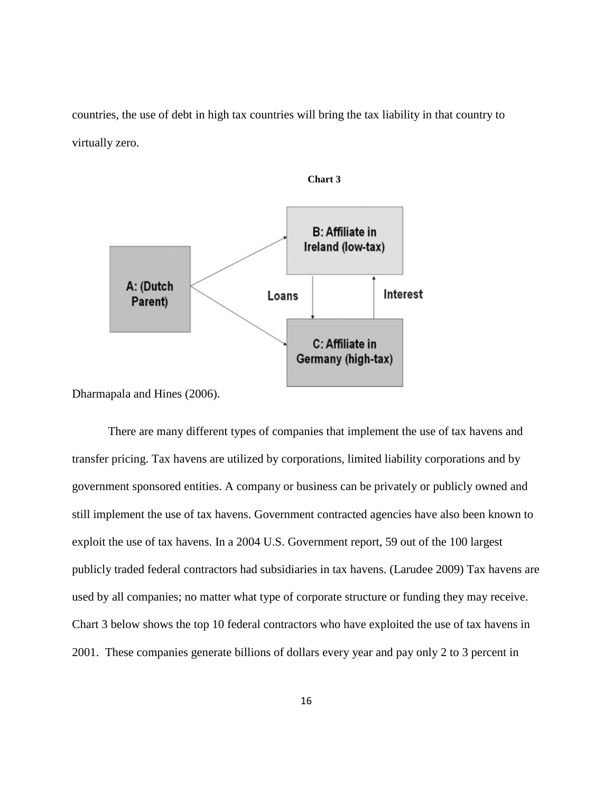countries, the use of debt in high tax countries will bring the tax liability in that country to virtually zero.

<span id="page-21-0"></span>

**Chart 3**

Dharmapala and Hines (2006).

There are many different types of companies that implement the use of tax havens and transfer pricing. Tax havens are utilized by corporations, limited liability corporations and by government sponsored entities. A company or business can be privately or publicly owned and still implement the use of tax havens. Government contracted agencies have also been known to exploit the use of tax havens. In a 2004 U.S. Government report, 59 out of the 100 largest publicly traded federal contractors had subsidiaries in tax havens. (Larudee 2009) Tax havens are used by all companies; no matter what type of corporate structure or funding they may receive. Chart 3 below shows the top 10 federal contractors who have exploited the use of tax havens in 2001. These companies generate billions of dollars every year and pay only 2 to 3 percent in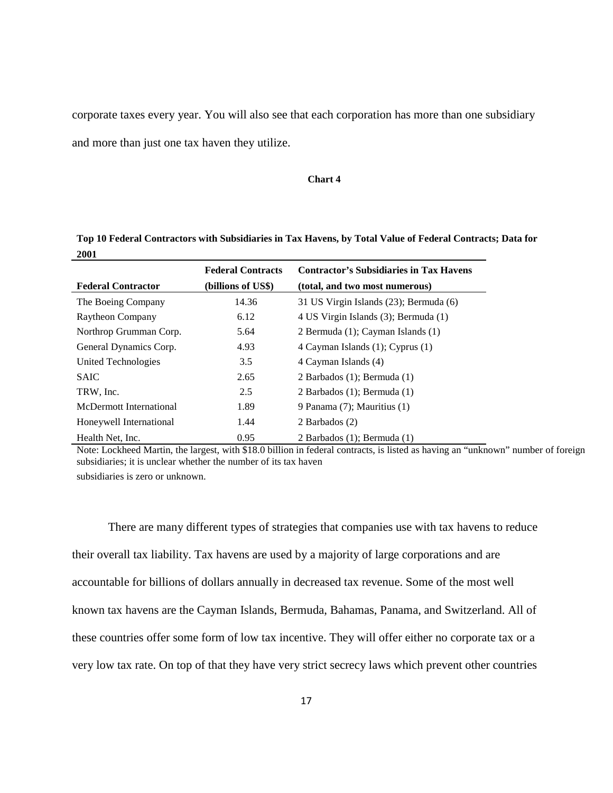corporate taxes every year. You will also see that each corporation has more than one subsidiary and more than just one tax haven they utilize.

#### <span id="page-22-0"></span>**Chart 4**

**Top 10 Federal Contractors with Subsidiaries in Tax Havens, by Total Value of Federal Contracts; Data for 2001**

| <b>Federal Contracts</b><br>(billions of US\$)<br><b>Federal Contractor</b> |       | <b>Contractor's Subsidiaries in Tax Havens</b> |  |
|-----------------------------------------------------------------------------|-------|------------------------------------------------|--|
|                                                                             |       | (total, and two most numerous)                 |  |
| The Boeing Company                                                          | 14.36 | 31 US Virgin Islands (23); Bermuda (6)         |  |
| Raytheon Company                                                            | 6.12  | 4 US Virgin Islands (3); Bermuda (1)           |  |
| Northrop Grumman Corp.                                                      | 5.64  | 2 Bermuda (1); Cayman Islands (1)              |  |
| General Dynamics Corp.                                                      | 4.93  | 4 Cayman Islands (1); Cyprus (1)               |  |
| United Technologies                                                         | 3.5   | 4 Cayman Islands (4)                           |  |
| <b>SAIC</b>                                                                 | 2.65  | 2 Barbados $(1)$ ; Bermuda $(1)$               |  |
| TRW, Inc.                                                                   | 2.5   | 2 Barbados (1); Bermuda (1)                    |  |
| McDermott International                                                     | 1.89  | 9 Panama (7); Mauritius (1)                    |  |
| Honeywell International                                                     | 1.44  | 2 Barbados (2)                                 |  |
| Health Net, Inc.                                                            | 0.95  | 2 Barbados (1); Bermuda (1)                    |  |

Note: Lockheed Martin, the largest, with \$18.0 billion in federal contracts, is listed as having an "unknown" number of foreign subsidiaries; it is unclear whether the number of its tax haven

subsidiaries is zero or unknown.

There are many different types of strategies that companies use with tax havens to reduce their overall tax liability. Tax havens are used by a majority of large corporations and are accountable for billions of dollars annually in decreased tax revenue. Some of the most well known tax havens are the Cayman Islands, Bermuda, Bahamas, Panama, and Switzerland. All of these countries offer some form of low tax incentive. They will offer either no corporate tax or a very low tax rate. On top of that they have very strict secrecy laws which prevent other countries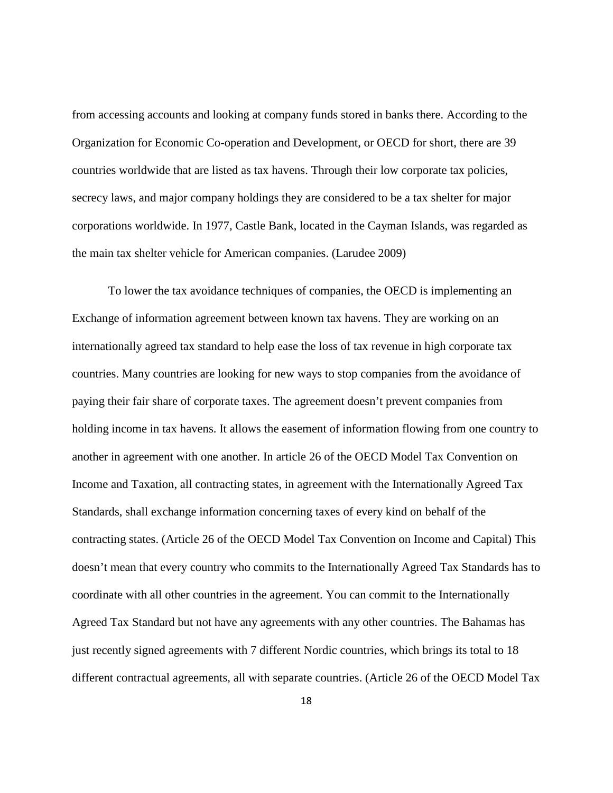from accessing accounts and looking at company funds stored in banks there. According to the Organization for Economic Co-operation and Development, or OECD for short, there are 39 countries worldwide that are listed as tax havens. Through their low corporate tax policies, secrecy laws, and major company holdings they are considered to be a tax shelter for major corporations worldwide. In 1977, Castle Bank, located in the Cayman Islands, was regarded as the main tax shelter vehicle for American companies. (Larudee 2009)

To lower the tax avoidance techniques of companies, the OECD is implementing an Exchange of information agreement between known tax havens. They are working on an internationally agreed tax standard to help ease the loss of tax revenue in high corporate tax countries. Many countries are looking for new ways to stop companies from the avoidance of paying their fair share of corporate taxes. The agreement doesn't prevent companies from holding income in tax havens. It allows the easement of information flowing from one country to another in agreement with one another. In article 26 of the OECD Model Tax Convention on Income and Taxation, all contracting states, in agreement with the Internationally Agreed Tax Standards, shall exchange information concerning taxes of every kind on behalf of the contracting states. (Article 26 of the OECD Model Tax Convention on Income and Capital) This doesn't mean that every country who commits to the Internationally Agreed Tax Standards has to coordinate with all other countries in the agreement. You can commit to the Internationally Agreed Tax Standard but not have any agreements with any other countries. The Bahamas has just recently signed agreements with 7 different Nordic countries, which brings its total to 18 different contractual agreements, all with separate countries. (Article 26 of the OECD Model Tax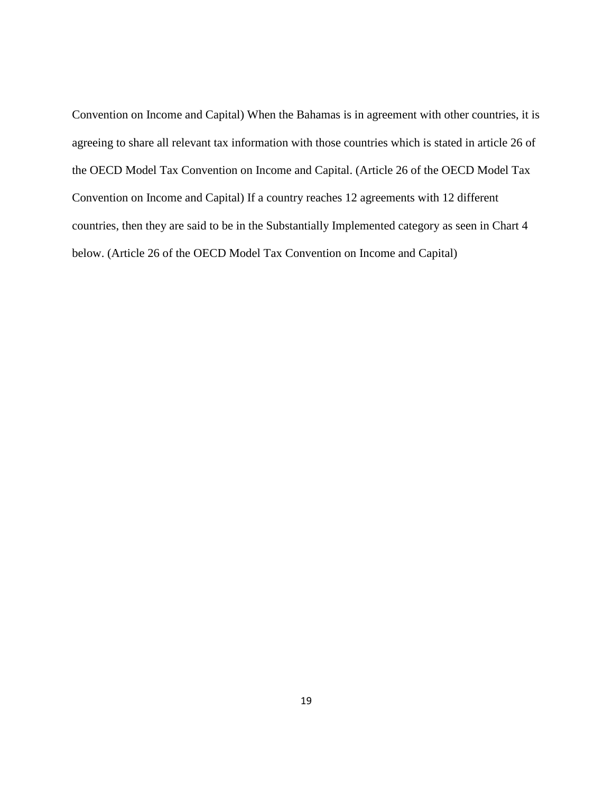<span id="page-24-0"></span>Convention on Income and Capital) When the Bahamas is in agreement with other countries, it is agreeing to share all relevant tax information with those countries which is stated in article 26 of the OECD Model Tax Convention on Income and Capital. (Article 26 of the OECD Model Tax Convention on Income and Capital) If a country reaches 12 agreements with 12 different countries, then they are said to be in the Substantially Implemented category as seen in Chart 4 below. (Article 26 of the OECD Model Tax Convention on Income and Capital)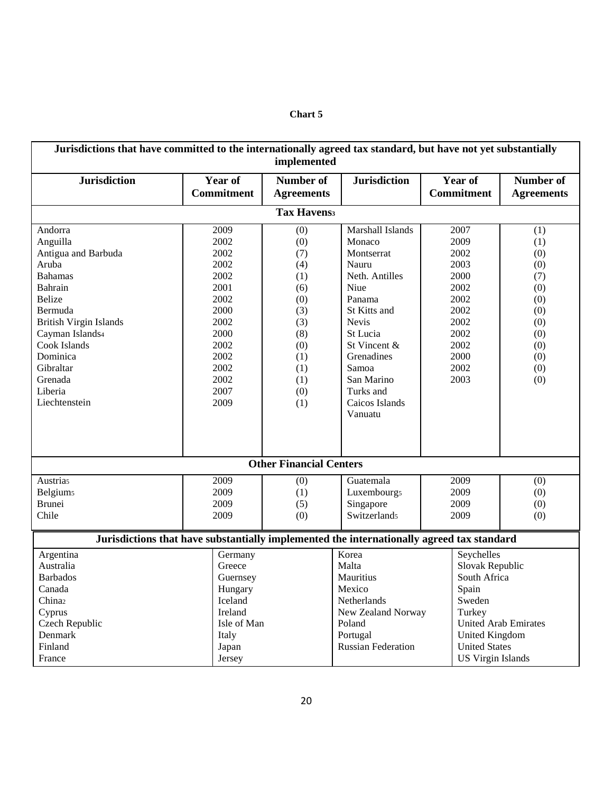| Jurisdictions that have committed to the internationally agreed tax standard, but have not yet substantially<br>implemented                                                                                                                      |                                                                                                                              |                                                                                                              |                                                                                                                                                                                                                                  |                                                                                                                                                     |                                                                                                |
|--------------------------------------------------------------------------------------------------------------------------------------------------------------------------------------------------------------------------------------------------|------------------------------------------------------------------------------------------------------------------------------|--------------------------------------------------------------------------------------------------------------|----------------------------------------------------------------------------------------------------------------------------------------------------------------------------------------------------------------------------------|-----------------------------------------------------------------------------------------------------------------------------------------------------|------------------------------------------------------------------------------------------------|
| <b>Jurisdiction</b>                                                                                                                                                                                                                              | <b>Year of</b><br><b>Commitment</b>                                                                                          | <b>Number of</b><br><b>Agreements</b>                                                                        | <b>Jurisdiction</b>                                                                                                                                                                                                              | <b>Year of</b><br><b>Commitment</b>                                                                                                                 | <b>Number of</b><br><b>Agreements</b>                                                          |
|                                                                                                                                                                                                                                                  |                                                                                                                              | <b>Tax Havenss</b>                                                                                           |                                                                                                                                                                                                                                  |                                                                                                                                                     |                                                                                                |
| Andorra<br>Anguilla<br>Antigua and Barbuda<br>Aruba<br><b>Bahamas</b><br>Bahrain<br><b>Belize</b><br>Bermuda<br><b>British Virgin Islands</b><br>Cayman Islands4<br>Cook Islands<br>Dominica<br>Gibraltar<br>Grenada<br>Liberia<br>Liechtenstein | 2009<br>2002<br>2002<br>2002<br>2002<br>2001<br>2002<br>2000<br>2002<br>2000<br>2002<br>2002<br>2002<br>2002<br>2007<br>2009 | (0)<br>(0)<br>(7)<br>(4)<br>(1)<br>(6)<br>(0)<br>(3)<br>(3)<br>(8)<br>(0)<br>(1)<br>(1)<br>(1)<br>(0)<br>(1) | Marshall Islands<br>Monaco<br>Montserrat<br>Nauru<br>Neth. Antilles<br>Niue<br>Panama<br>St Kitts and<br><b>Nevis</b><br>St Lucia<br>St Vincent &<br>Grenadines<br>Samoa<br>San Marino<br>Turks and<br>Caicos Islands<br>Vanuatu | 2007<br>2009<br>2002<br>2003<br>2000<br>2002<br>2002<br>2002<br>2002<br>2002<br>2002<br>2000<br>2002<br>2003                                        | (1)<br>(1)<br>(0)<br>(0)<br>(7)<br>(0)<br>(0)<br>(0)<br>(0)<br>(0)<br>(0)<br>(0)<br>(0)<br>(0) |
|                                                                                                                                                                                                                                                  |                                                                                                                              | <b>Other Financial Centers</b>                                                                               |                                                                                                                                                                                                                                  |                                                                                                                                                     |                                                                                                |
| <b>Austrias</b><br><b>Belgiums</b><br><b>Brunei</b><br>Chile                                                                                                                                                                                     | 2009<br>2009<br>2009<br>2009                                                                                                 | (0)<br>(1)<br>(5)<br>(0)                                                                                     | Guatemala<br>Luxembourg <sub>5</sub><br>Singapore<br>Switzerlands                                                                                                                                                                | 2009<br>(0)<br>2009<br>(0)<br>2009<br>(0)<br>2009<br>(0)                                                                                            |                                                                                                |
| Jurisdictions that have substantially implemented the internationally agreed tax standard                                                                                                                                                        |                                                                                                                              |                                                                                                              |                                                                                                                                                                                                                                  |                                                                                                                                                     |                                                                                                |
| Argentina<br>Australia<br><b>Barbados</b><br>Canada<br>China <sub>2</sub><br>Cyprus<br>Czech Republic<br>Denmark<br>Finland                                                                                                                      | Germany<br>Greece<br>Guernsey<br>Hungary<br>Iceland<br>Ireland<br>Isle of Man<br>Italy<br>Japan                              |                                                                                                              | Korea<br>Malta<br>Mauritius<br>Mexico<br>Netherlands<br>New Zealand Norway<br>Poland<br>Portugal<br><b>Russian Federation</b>                                                                                                    | Seychelles<br>Slovak Republic<br>South Africa<br>Spain<br>Sweden<br>Turkey<br><b>United Arab Emirates</b><br>United Kingdom<br><b>United States</b> |                                                                                                |
| France                                                                                                                                                                                                                                           | Jersey                                                                                                                       |                                                                                                              |                                                                                                                                                                                                                                  | <b>US Virgin Islands</b>                                                                                                                            |                                                                                                |

#### **Chart 5**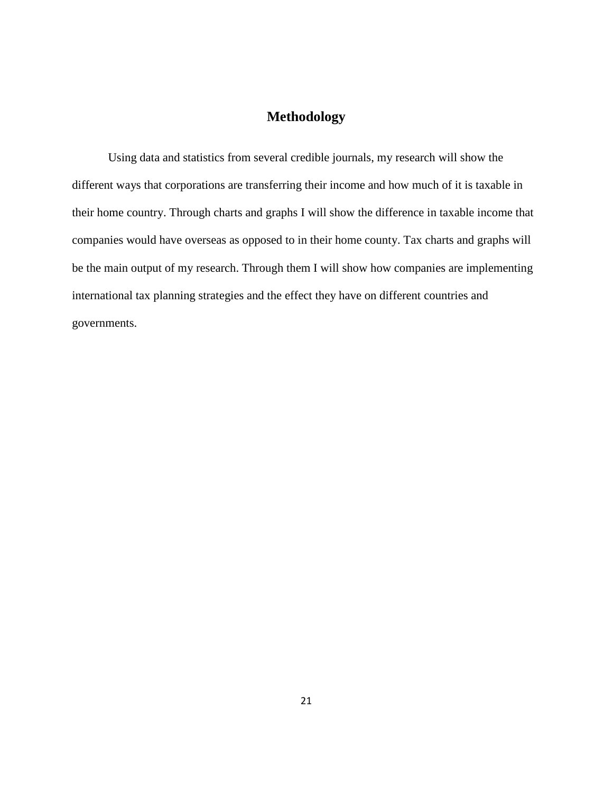#### **Methodology**

<span id="page-26-0"></span>Using data and statistics from several credible journals, my research will show the different ways that corporations are transferring their income and how much of it is taxable in their home country. Through charts and graphs I will show the difference in taxable income that companies would have overseas as opposed to in their home county. Tax charts and graphs will be the main output of my research. Through them I will show how companies are implementing international tax planning strategies and the effect they have on different countries and governments.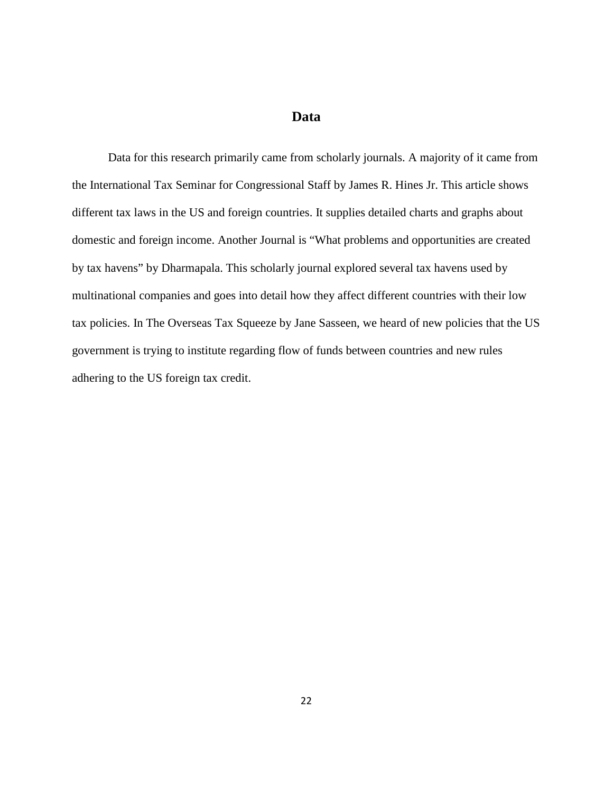#### **Data**

<span id="page-27-0"></span>Data for this research primarily came from scholarly journals. A majority of it came from the International Tax Seminar for Congressional Staff by James R. Hines Jr. This article shows different tax laws in the US and foreign countries. It supplies detailed charts and graphs about domestic and foreign income. Another Journal is "What problems and opportunities are created by tax havens" by Dharmapala. This scholarly journal explored several tax havens used by multinational companies and goes into detail how they affect different countries with their low tax policies. In The Overseas Tax Squeeze by Jane Sasseen, we heard of new policies that the US government is trying to institute regarding flow of funds between countries and new rules adhering to the US foreign tax credit.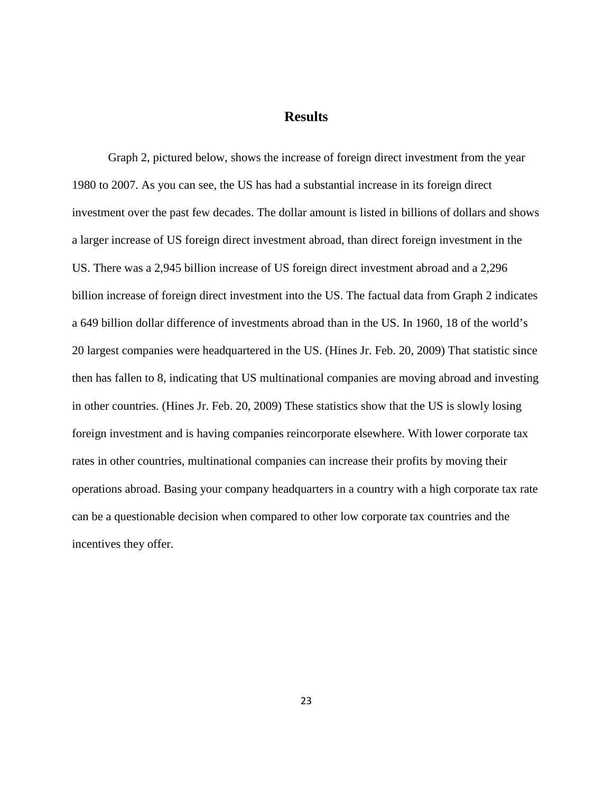#### **Results**

<span id="page-28-1"></span><span id="page-28-0"></span>Graph 2, pictured below, shows the increase of foreign direct investment from the year 1980 to 2007. As you can see, the US has had a substantial increase in its foreign direct investment over the past few decades. The dollar amount is listed in billions of dollars and shows a larger increase of US foreign direct investment abroad, than direct foreign investment in the US. There was a 2,945 billion increase of US foreign direct investment abroad and a 2,296 billion increase of foreign direct investment into the US. The factual data from Graph 2 indicates a 649 billion dollar difference of investments abroad than in the US. In 1960, 18 of the world's 20 largest companies were headquartered in the US. (Hines Jr. Feb. 20, 2009) That statistic since then has fallen to 8, indicating that US multinational companies are moving abroad and investing in other countries. (Hines Jr. Feb. 20, 2009) These statistics show that the US is slowly losing foreign investment and is having companies reincorporate elsewhere. With lower corporate tax rates in other countries, multinational companies can increase their profits by moving their operations abroad. Basing your company headquarters in a country with a high corporate tax rate can be a questionable decision when compared to other low corporate tax countries and the incentives they offer.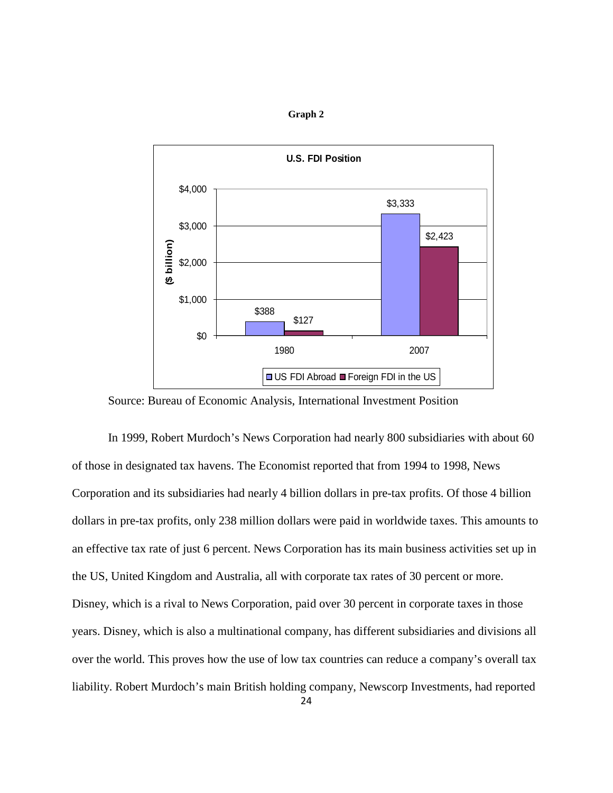

**Graph 2**

Source: Bureau of Economic Analysis, International Investment Position

In 1999, Robert Murdoch's News Corporation had nearly 800 subsidiaries with about 60 of those in designated tax havens. The Economist reported that from 1994 to 1998, News Corporation and its subsidiaries had nearly 4 billion dollars in pre-tax profits. Of those 4 billion dollars in pre-tax profits, only 238 million dollars were paid in worldwide taxes. This amounts to an effective tax rate of just 6 percent. News Corporation has its main business activities set up in the US, United Kingdom and Australia, all with corporate tax rates of 30 percent or more. Disney, which is a rival to News Corporation, paid over 30 percent in corporate taxes in those years. Disney, which is also a multinational company, has different subsidiaries and divisions all over the world. This proves how the use of low tax countries can reduce a company's overall tax liability. Robert Murdoch's main British holding company, Newscorp Investments, had reported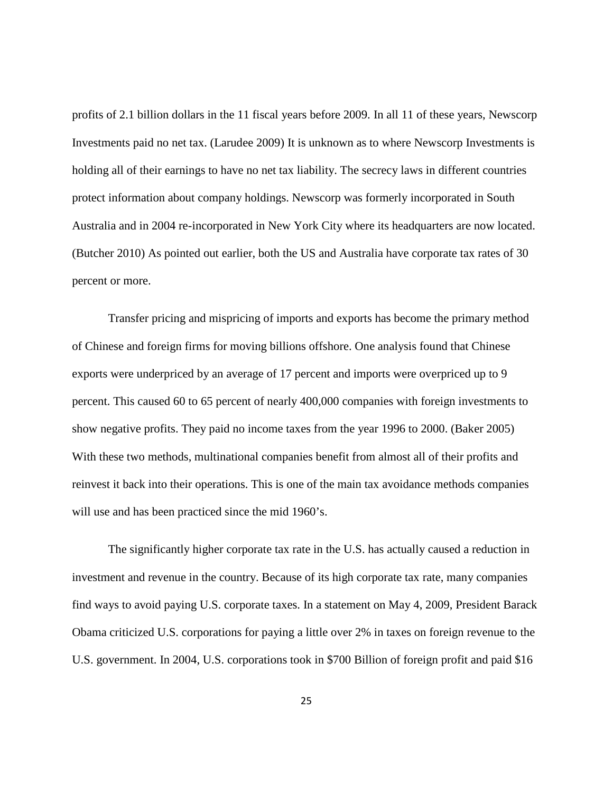profits of 2.1 billion dollars in the 11 fiscal years before 2009. In all 11 of these years, Newscorp Investments paid no net tax. (Larudee 2009) It is unknown as to where Newscorp Investments is holding all of their earnings to have no net tax liability. The secrecy laws in different countries protect information about company holdings. Newscorp was formerly incorporated in South Australia and in 2004 re-incorporated in New York City where its headquarters are now located. (Butcher 2010) As pointed out earlier, both the US and Australia have corporate tax rates of 30 percent or more.

Transfer pricing and mispricing of imports and exports has become the primary method of Chinese and foreign firms for moving billions offshore. One analysis found that Chinese exports were underpriced by an average of 17 percent and imports were overpriced up to 9 percent. This caused 60 to 65 percent of nearly 400,000 companies with foreign investments to show negative profits. They paid no income taxes from the year 1996 to 2000. (Baker 2005) With these two methods, multinational companies benefit from almost all of their profits and reinvest it back into their operations. This is one of the main tax avoidance methods companies will use and has been practiced since the mid 1960's.

The significantly higher corporate tax rate in the U.S. has actually caused a reduction in investment and revenue in the country. Because of its high corporate tax rate, many companies find ways to avoid paying U.S. corporate taxes. In a statement on May 4, 2009, President Barack Obama criticized U.S. corporations for paying a little over 2% in taxes on foreign revenue to the U.S. government. In 2004, U.S. corporations took in \$700 Billion of foreign profit and paid \$16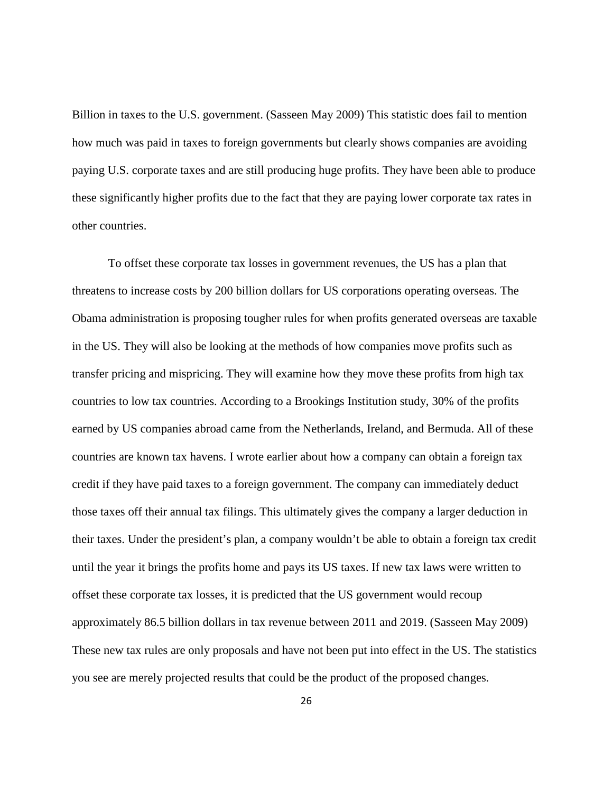Billion in taxes to the U.S. government. (Sasseen May 2009) This statistic does fail to mention how much was paid in taxes to foreign governments but clearly shows companies are avoiding paying U.S. corporate taxes and are still producing huge profits. They have been able to produce these significantly higher profits due to the fact that they are paying lower corporate tax rates in other countries.

To offset these corporate tax losses in government revenues, the US has a plan that threatens to increase costs by 200 billion dollars for US corporations operating overseas. The Obama administration is proposing tougher rules for when profits generated overseas are taxable in the US. They will also be looking at the methods of how companies move profits such as transfer pricing and mispricing. They will examine how they move these profits from high tax countries to low tax countries. According to a Brookings Institution study, 30% of the profits earned by US companies abroad came from the Netherlands, Ireland, and Bermuda. All of these countries are known tax havens. I wrote earlier about how a company can obtain a foreign tax credit if they have paid taxes to a foreign government. The company can immediately deduct those taxes off their annual tax filings. This ultimately gives the company a larger deduction in their taxes. Under the president's plan, a company wouldn't be able to obtain a foreign tax credit until the year it brings the profits home and pays its US taxes. If new tax laws were written to offset these corporate tax losses, it is predicted that the US government would recoup approximately 86.5 billion dollars in tax revenue between 2011 and 2019. (Sasseen May 2009) These new tax rules are only proposals and have not been put into effect in the US. The statistics you see are merely projected results that could be the product of the proposed changes.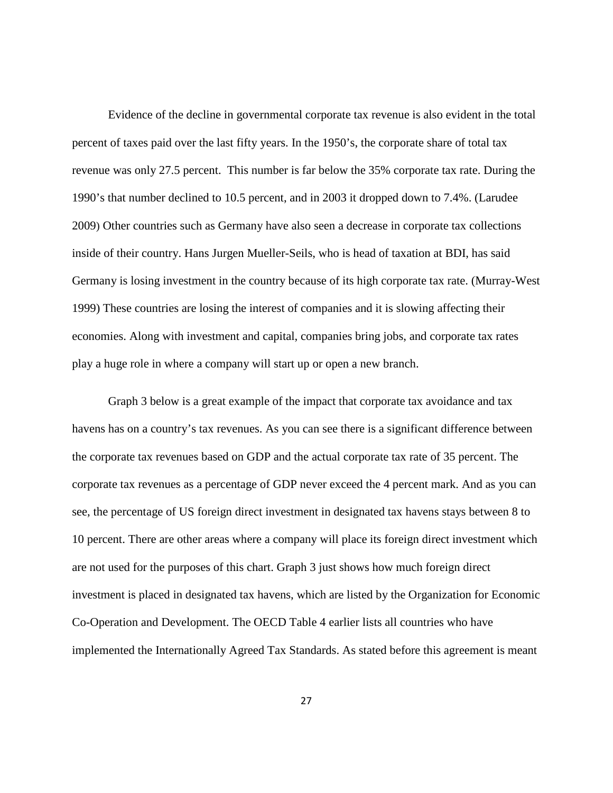Evidence of the decline in governmental corporate tax revenue is also evident in the total percent of taxes paid over the last fifty years. In the 1950's, the corporate share of total tax revenue was only 27.5 percent. This number is far below the 35% corporate tax rate. During the 1990's that number declined to 10.5 percent, and in 2003 it dropped down to 7.4%. (Larudee 2009) Other countries such as Germany have also seen a decrease in corporate tax collections inside of their country. Hans Jurgen Mueller-Seils, who is head of taxation at BDI, has said Germany is losing investment in the country because of its high corporate tax rate. (Murray-West 1999) These countries are losing the interest of companies and it is slowing affecting their economies. Along with investment and capital, companies bring jobs, and corporate tax rates play a huge role in where a company will start up or open a new branch.

Graph 3 below is a great example of the impact that corporate tax avoidance and tax havens has on a country's tax revenues. As you can see there is a significant difference between the corporate tax revenues based on GDP and the actual corporate tax rate of 35 percent. The corporate tax revenues as a percentage of GDP never exceed the 4 percent mark. And as you can see, the percentage of US foreign direct investment in designated tax havens stays between 8 to 10 percent. There are other areas where a company will place its foreign direct investment which are not used for the purposes of this chart. Graph 3 just shows how much foreign direct investment is placed in designated tax havens, which are listed by the Organization for Economic Co-Operation and Development. The OECD Table 4 earlier lists all countries who have implemented the Internationally Agreed Tax Standards. As stated before this agreement is meant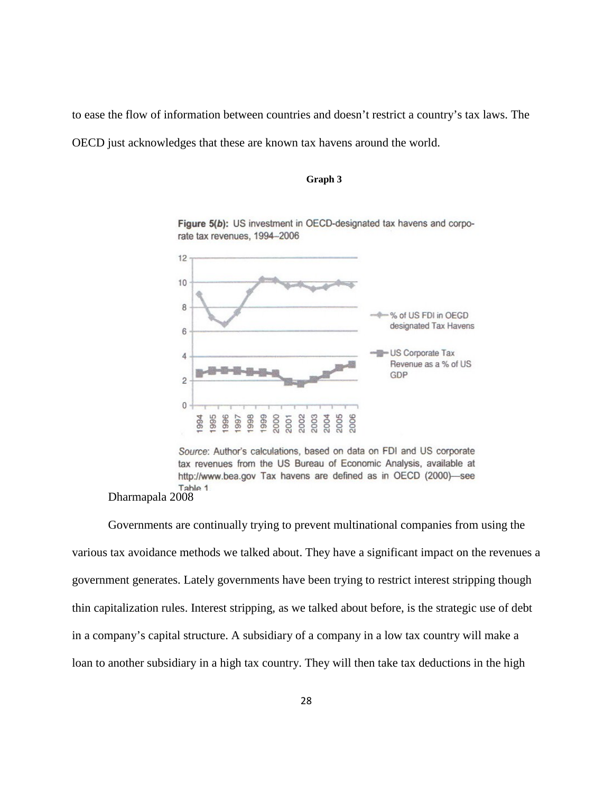<span id="page-33-0"></span>to ease the flow of information between countries and doesn't restrict a country's tax laws. The OECD just acknowledges that these are known tax havens around the world.

#### **Graph 3**



Figure 5(b): US investment in OECD-designated tax havens and corporate tax revenues, 1994-2006

Source: Author's calculations, based on data on FDI and US corporate tax revenues from the US Bureau of Economic Analysis, available at http://www.bea.gov Tax havens are defined as in OECD (2000)-see Table 1

Dharmapala 2008

Governments are continually trying to prevent multinational companies from using the various tax avoidance methods we talked about. They have a significant impact on the revenues a government generates. Lately governments have been trying to restrict interest stripping though thin capitalization rules. Interest stripping, as we talked about before, is the strategic use of debt in a company's capital structure. A subsidiary of a company in a low tax country will make a loan to another subsidiary in a high tax country. They will then take tax deductions in the high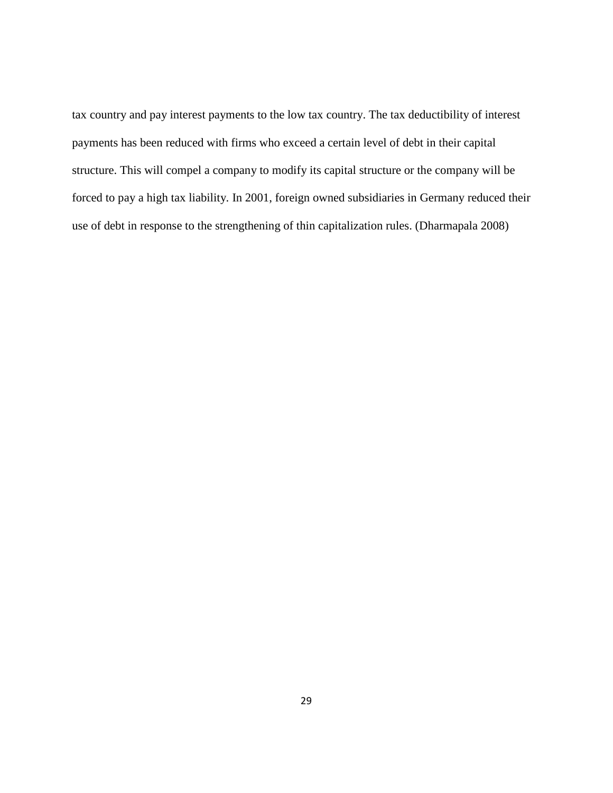tax country and pay interest payments to the low tax country. The tax deductibility of interest payments has been reduced with firms who exceed a certain level of debt in their capital structure. This will compel a company to modify its capital structure or the company will be forced to pay a high tax liability. In 2001, foreign owned subsidiaries in Germany reduced their use of debt in response to the strengthening of thin capitalization rules. (Dharmapala 2008)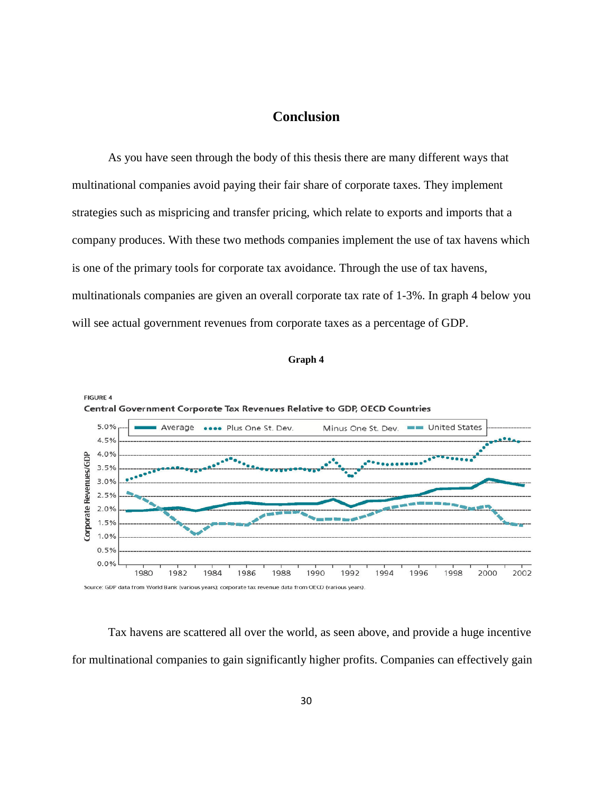#### **Conclusion**

<span id="page-35-0"></span>As you have seen through the body of this thesis there are many different ways that multinational companies avoid paying their fair share of corporate taxes. They implement strategies such as mispricing and transfer pricing, which relate to exports and imports that a company produces. With these two methods companies implement the use of tax havens which is one of the primary tools for corporate tax avoidance. Through the use of tax havens, multinationals companies are given an overall corporate tax rate of 1-3%. In graph 4 below you will see actual government revenues from corporate taxes as a percentage of GDP.

<span id="page-35-1"></span>

```
Graph 4
```
Tax havens are scattered all over the world, as seen above, and provide a huge incentive for multinational companies to gain significantly higher profits. Companies can effectively gain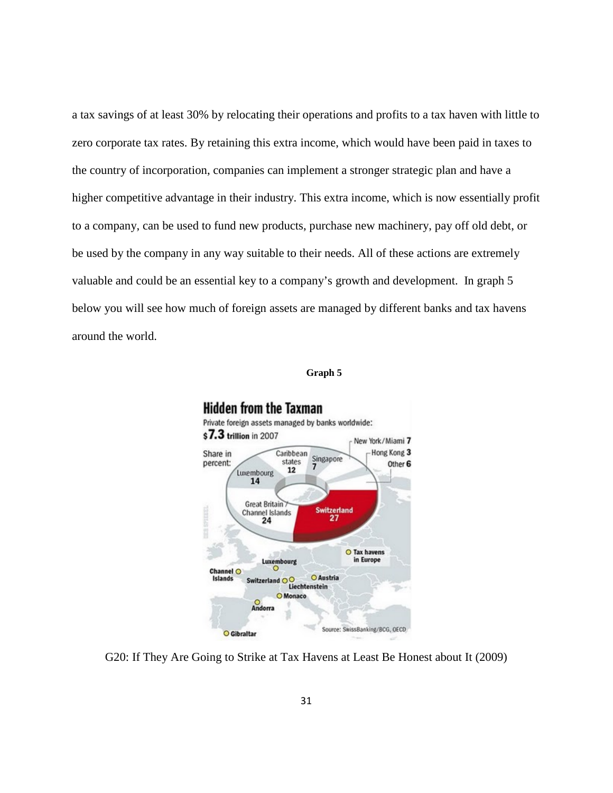a tax savings of at least 30% by relocating their operations and profits to a tax haven with little to zero corporate tax rates. By retaining this extra income, which would have been paid in taxes to the country of incorporation, companies can implement a stronger strategic plan and have a higher competitive advantage in their industry. This extra income, which is now essentially profit to a company, can be used to fund new products, purchase new machinery, pay off old debt, or be used by the company in any way suitable to their needs. All of these actions are extremely valuable and could be an essential key to a company's growth and development. In graph 5 below you will see how much of foreign assets are managed by different banks and tax havens around the world.



<span id="page-36-0"></span>

G20: If They Are Going to Strike at Tax Havens at Least Be Honest about It (2009)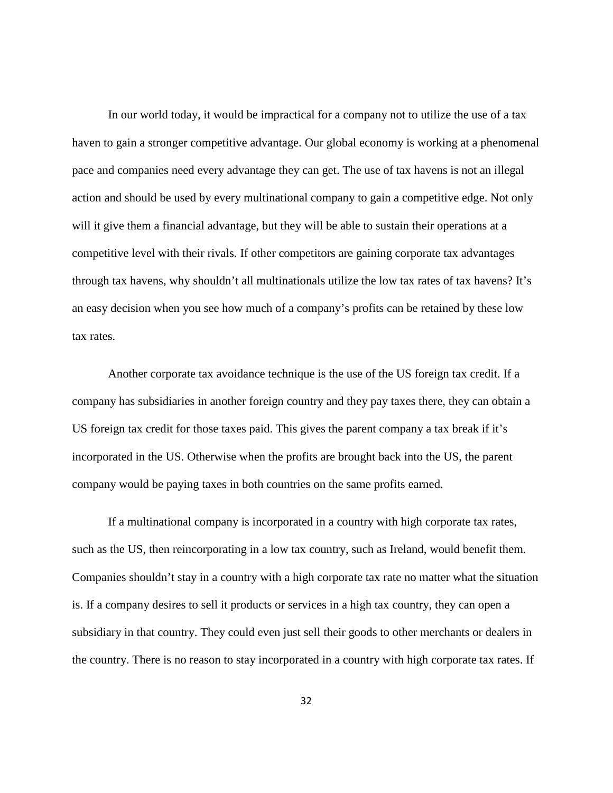In our world today, it would be impractical for a company not to utilize the use of a tax haven to gain a stronger competitive advantage. Our global economy is working at a phenomenal pace and companies need every advantage they can get. The use of tax havens is not an illegal action and should be used by every multinational company to gain a competitive edge. Not only will it give them a financial advantage, but they will be able to sustain their operations at a competitive level with their rivals. If other competitors are gaining corporate tax advantages through tax havens, why shouldn't all multinationals utilize the low tax rates of tax havens? It's an easy decision when you see how much of a company's profits can be retained by these low tax rates.

Another corporate tax avoidance technique is the use of the US foreign tax credit. If a company has subsidiaries in another foreign country and they pay taxes there, they can obtain a US foreign tax credit for those taxes paid. This gives the parent company a tax break if it's incorporated in the US. Otherwise when the profits are brought back into the US, the parent company would be paying taxes in both countries on the same profits earned.

If a multinational company is incorporated in a country with high corporate tax rates, such as the US, then reincorporating in a low tax country, such as Ireland, would benefit them. Companies shouldn't stay in a country with a high corporate tax rate no matter what the situation is. If a company desires to sell it products or services in a high tax country, they can open a subsidiary in that country. They could even just sell their goods to other merchants or dealers in the country. There is no reason to stay incorporated in a country with high corporate tax rates. If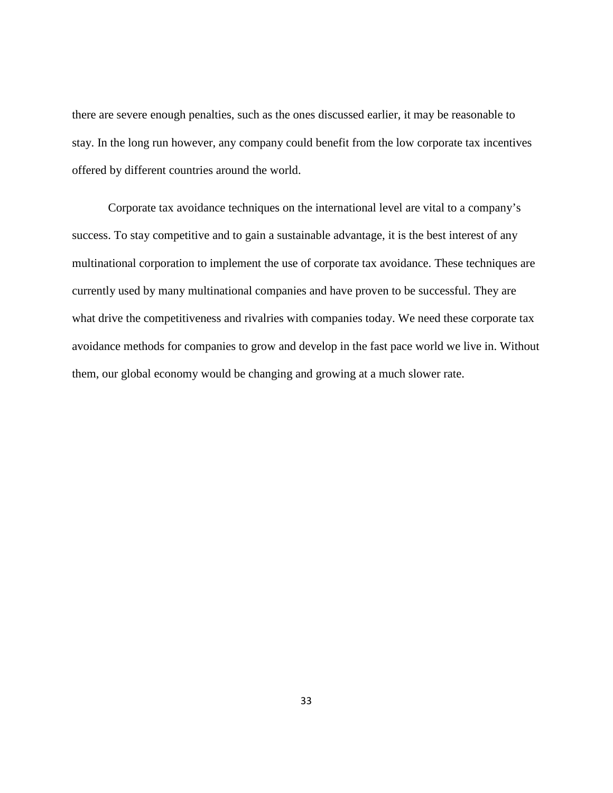there are severe enough penalties, such as the ones discussed earlier, it may be reasonable to stay. In the long run however, any company could benefit from the low corporate tax incentives offered by different countries around the world.

Corporate tax avoidance techniques on the international level are vital to a company's success. To stay competitive and to gain a sustainable advantage, it is the best interest of any multinational corporation to implement the use of corporate tax avoidance. These techniques are currently used by many multinational companies and have proven to be successful. They are what drive the competitiveness and rivalries with companies today. We need these corporate tax avoidance methods for companies to grow and develop in the fast pace world we live in. Without them, our global economy would be changing and growing at a much slower rate.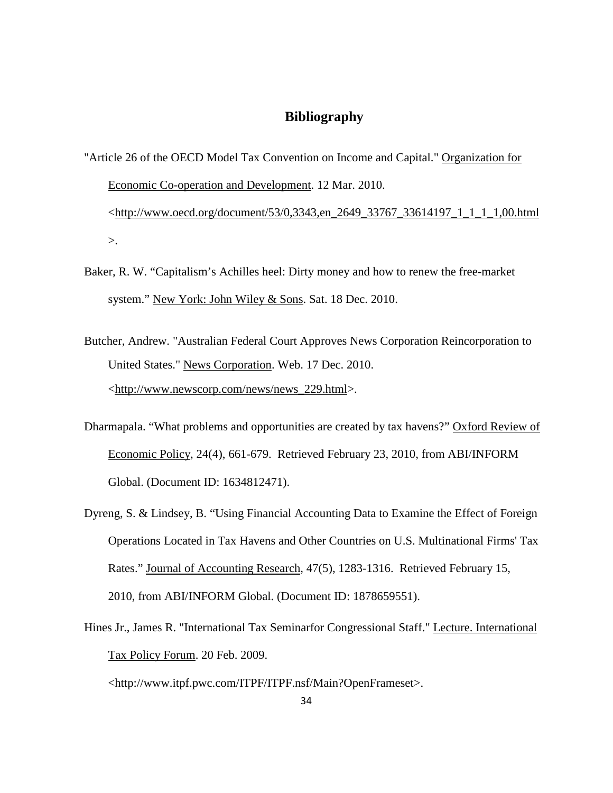#### **Bibliography**

- <span id="page-39-0"></span>"Article 26 of the OECD Model Tax Convention on Income and Capital." Organization for Economic Co-operation and Development. 12 Mar. 2010. <http://www.oecd.org/document/53/0,3343,en\_2649\_33767\_33614197\_1\_1\_1\_1,00.html  $\mathcal{L}$ .
- Baker, R. W. "Capitalism's Achilles heel: Dirty money and how to renew the free-market system." New York: John Wiley & Sons. Sat. 18 Dec. 2010.
- Butcher, Andrew. "Australian Federal Court Approves News Corporation Reincorporation to United States." News Corporation. Web. 17 Dec. 2010. <http://www.newscorp.com/news/news\_229.html>.
- Dharmapala. "What problems and opportunities are created by tax havens?" Oxford Review of Economic Policy, 24(4), 661-679. Retrieved February 23, 2010, from ABI/INFORM Global. (Document ID: 1634812471).
- Dyreng, S. & Lindsey, B. "Using Financial Accounting Data to Examine the Effect of Foreign Operations Located in Tax Havens and Other Countries on U.S. Multinational Firms' Tax Rates." Journal of Accounting Research, 47(5), 1283-1316. Retrieved February 15, 2010, from ABI/INFORM Global. (Document ID: 1878659551).
- Hines Jr., James R. "International Tax Seminarfor Congressional Staff." Lecture. International Tax Policy Forum. 20 Feb. 2009.

<http://www.itpf.pwc.com/ITPF/ITPF.nsf/Main?OpenFrameset>.